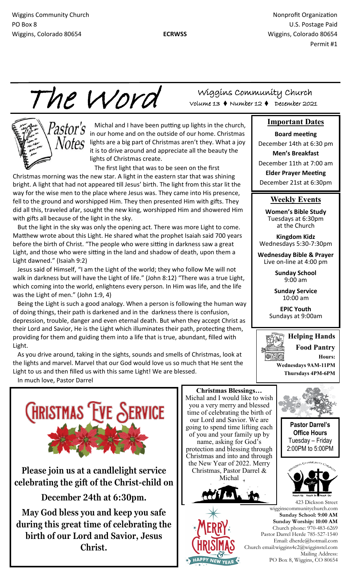Michal and I have been putting up lights in the church, in our home and on the outside of our home. Christmas

it is to drive around and appreciate all the beauty the

 $\theta$  lights are a big part of Christmas aren't they. What a joy

The first light that was to be seen on the first

lights of Christmas create.

Christmas morning was the new star. A light in the eastern star that was shining bright. A light that had not appeared till Jesus' birth. The light from this star lit the way for the wise men to the place where Jesus was. They came into His presence, fell to the ground and worshipped Him. They then presented Him with gifts. They did all this, traveled afar, sought the new king, worshipped Him and showered Him

 But the light in the sky was only the opening act. There was more Light to come. Matthew wrote about this Light. He shared what the prophet Isaiah said 700 years before the birth of Christ. "The people who were sitting in darkness saw a great Light, and those who were sitting in the land and shadow of death, upon them a

 Jesus said of Himself, "I am the Light of the world; they who follow Me will not walk in darkness but will have the Light of life." (John 8:12) "There was a true Light, which coming into the world, enlightens every person. In Him was life, and the life

Being the Light is such a good analogy. When a person is following the human way

depression, trouble, danger and even eternal death. But when they accept Christ as their Lord and Savior, He is the Light which illuminates their path, protecting them, providing for them and guiding them into a life that is true, abundant, filled with

 As you drive around, taking in the sights, sounds and smells of Christmas, look at the lights and marvel. Marvel that our God would love us so much that He sent the

of doing things, their path is darkened and in the darkness there is confusion,

Wiggins Community Church Nonprofit Organization Nonprofit Organization PO Box 8 U.S. Postage Paid Wiggins, Colorado 80654 **ECRWSS** Wiggins, Colorado 80654

Permit #1

The Word

with gifts all because of the light in the sky.

Light dawned." (Isaiah 9:2)

was the Light of men." (John 1:9, 4)

Wiggins Community Church Volume 13 Number 12 December 2021

#### **Important Dates**

### **Board meeting**

December 14th at 6:30 pm **Men's Breakfast** December 11th at 7:00 am **Elder Prayer Meeting** December 21st at 6:30pm

#### **Weekly Events**

**Women's Bible Study**  Tuesdays at 6:30pm at the Church

**Kingdom Kidz** Wednesdays 5:30-7:30pm

**Wednesday Bible & Prayer**  Live on-line at 4:00 pm

> **Sunday School** 9:00 am

**Sunday Service** 10:00 am

**EPIC Youth** Sundays at 9:00am



In much love, Pastor Darrel

Light.



Light to us and then filled us with this same Light! We are blessed.

**Please join us at a candlelight service celebrating the gift of the Christ-child on** 

**December 24th at 6:30pm.** 

**May God bless you and keep you safe during this great time of celebrating the birth of our Lord and Savior, Jesus Christ.**





**Pastor Darrel's Office Hours** Tuesday – Friday 2:00PM to 5:00PM



423 Dickson Street wigginscommunitychurch.com **Sunday School: 9:00 AM Sunday Worship: 10:00 AM**  Church phone: 970-483-6269 Pastor Darrel Herde 785-527-1540 Email: dherde@hotmail.com Church email:wiggins4c2@wigginstel.com Mailing Address: PO Box 8, Wiggins, CO 80654